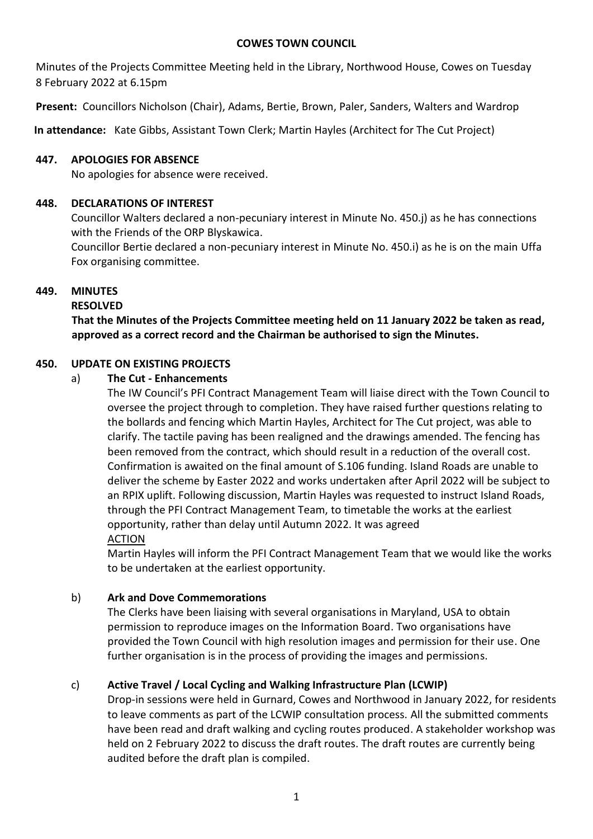#### **COWES TOWN COUNCIL**

Minutes of the Projects Committee Meeting held in the Library, Northwood House, Cowes on Tuesday 8 February 2022 at 6.15pm

**Present:** Councillors Nicholson (Chair), Adams, Bertie, Brown, Paler, Sanders, Walters and Wardrop

**In attendance:** Kate Gibbs, Assistant Town Clerk; Martin Hayles (Architect for The Cut Project)

### **447. APOLOGIES FOR ABSENCE**

No apologies for absence were received.

## **448. DECLARATIONS OF INTEREST**

Councillor Walters declared a non-pecuniary interest in Minute No. 450.j) as he has connections with the Friends of the ORP Blyskawica.

Councillor Bertie declared a non-pecuniary interest in Minute No. 450.i) as he is on the main Uffa Fox organising committee.

# **449. MINUTES**

## **RESOLVED**

**That the Minutes of the Projects Committee meeting held on 11 January 2022 be taken as read, approved as a correct record and the Chairman be authorised to sign the Minutes.**

## **450. UPDATE ON EXISTING PROJECTS**

## a) **The Cut - Enhancements**

The IW Council's PFI Contract Management Team will liaise direct with the Town Council to oversee the project through to completion. They have raised further questions relating to the bollards and fencing which Martin Hayles, Architect for The Cut project, was able to clarify. The tactile paving has been realigned and the drawings amended. The fencing has been removed from the contract, which should result in a reduction of the overall cost. Confirmation is awaited on the final amount of S.106 funding. Island Roads are unable to deliver the scheme by Easter 2022 and works undertaken after April 2022 will be subject to an RPIX uplift. Following discussion, Martin Hayles was requested to instruct Island Roads, through the PFI Contract Management Team, to timetable the works at the earliest opportunity, rather than delay until Autumn 2022. It was agreed ACTION

Martin Hayles will inform the PFI Contract Management Team that we would like the works to be undertaken at the earliest opportunity.

#### b) **Ark and Dove Commemorations**

The Clerks have been liaising with several organisations in Maryland, USA to obtain permission to reproduce images on the Information Board. Two organisations have provided the Town Council with high resolution images and permission for their use. One further organisation is in the process of providing the images and permissions.

# c) **Active Travel / Local Cycling and Walking Infrastructure Plan (LCWIP)**

Drop-in sessions were held in Gurnard, Cowes and Northwood in January 2022, for residents to leave comments as part of the LCWIP consultation process. All the submitted comments have been read and draft walking and cycling routes produced. A stakeholder workshop was held on 2 February 2022 to discuss the draft routes. The draft routes are currently being audited before the draft plan is compiled.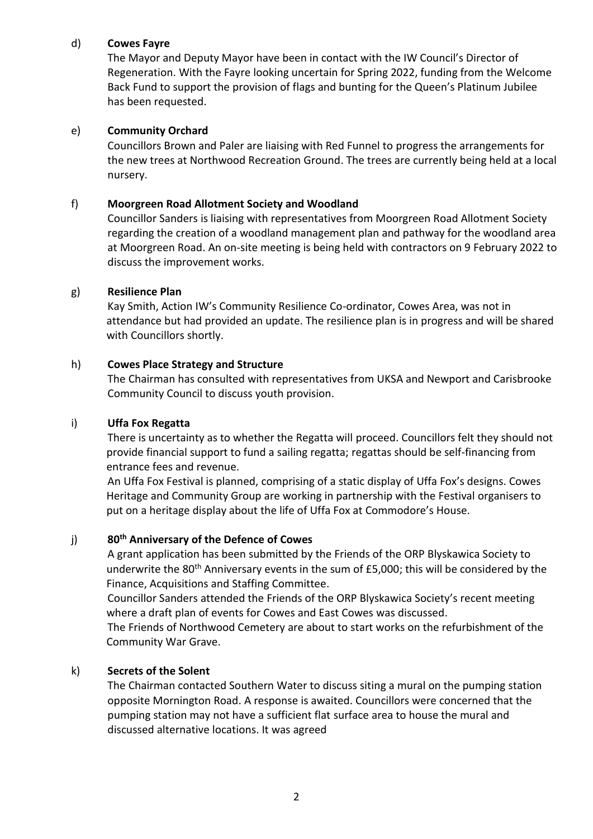## d) **Cowes Fayre**

The Mayor and Deputy Mayor have been in contact with the IW Council's Director of Regeneration. With the Fayre looking uncertain for Spring 2022, funding from the Welcome Back Fund to support the provision of flags and bunting for the Queen's Platinum Jubilee has been requested.

### e) **Community Orchard**

Councillors Brown and Paler are liaising with Red Funnel to progress the arrangements for the new trees at Northwood Recreation Ground. The trees are currently being held at a local nursery.

## f) **Moorgreen Road Allotment Society and Woodland**

Councillor Sanders is liaising with representatives from Moorgreen Road Allotment Society regarding the creation of a woodland management plan and pathway for the woodland area at Moorgreen Road. An on-site meeting is being held with contractors on 9 February 2022 to discuss the improvement works.

#### g) **Resilience Plan**

Kay Smith, Action IW's Community Resilience Co-ordinator, Cowes Area, was not in attendance but had provided an update. The resilience plan is in progress and will be shared with Councillors shortly.

## h) **Cowes Place Strategy and Structure**

The Chairman has consulted with representatives from UKSA and Newport and Carisbrooke Community Council to discuss youth provision.

### i) **Uffa Fox Regatta**

There is uncertainty as to whether the Regatta will proceed. Councillors felt they should not provide financial support to fund a sailing regatta; regattas should be self-financing from entrance fees and revenue.

An Uffa Fox Festival is planned, comprising of a static display of Uffa Fox's designs. Cowes Heritage and Community Group are working in partnership with the Festival organisers to put on a heritage display about the life of Uffa Fox at Commodore's House.

# j) **80th Anniversary of the Defence of Cowes**

A grant application has been submitted by the Friends of the ORP Blyskawica Society to underwrite the  $80<sup>th</sup>$  Anniversary events in the sum of £5,000; this will be considered by the Finance, Acquisitions and Staffing Committee.

Councillor Sanders attended the Friends of the ORP Blyskawica Society's recent meeting where a draft plan of events for Cowes and East Cowes was discussed.

The Friends of Northwood Cemetery are about to start works on the refurbishment of the Community War Grave.

#### k) **Secrets of the Solent**

The Chairman contacted Southern Water to discuss siting a mural on the pumping station opposite Mornington Road. A response is awaited. Councillors were concerned that the pumping station may not have a sufficient flat surface area to house the mural and discussed alternative locations. It was agreed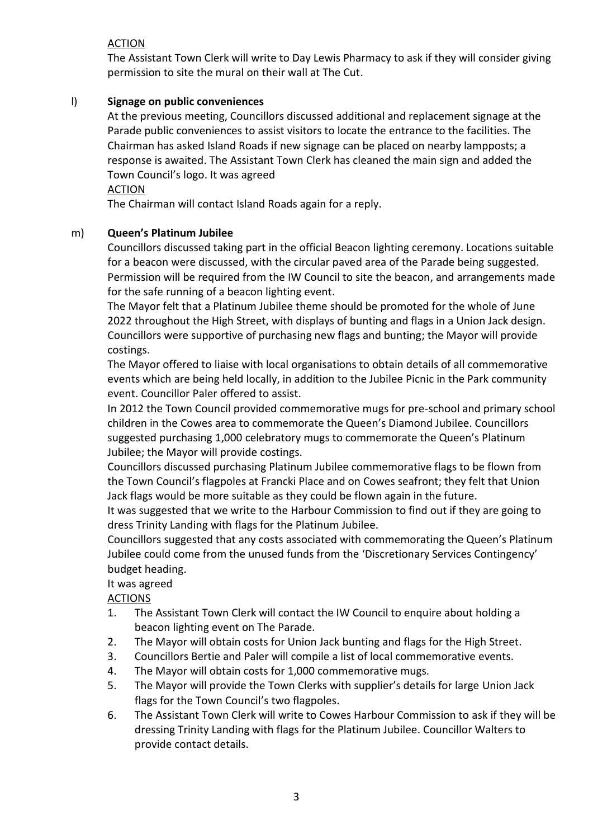# ACTION

The Assistant Town Clerk will write to Day Lewis Pharmacy to ask if they will consider giving permission to site the mural on their wall at The Cut.

# l) **Signage on public conveniences**

At the previous meeting, Councillors discussed additional and replacement signage at the Parade public conveniences to assist visitors to locate the entrance to the facilities. The Chairman has asked Island Roads if new signage can be placed on nearby lampposts; a response is awaited. The Assistant Town Clerk has cleaned the main sign and added the Town Council's logo. It was agreed

## **ACTION**

The Chairman will contact Island Roads again for a reply.

# m) **Queen's Platinum Jubilee**

Councillors discussed taking part in the official Beacon lighting ceremony. Locations suitable for a beacon were discussed, with the circular paved area of the Parade being suggested. Permission will be required from the IW Council to site the beacon, and arrangements made for the safe running of a beacon lighting event.

The Mayor felt that a Platinum Jubilee theme should be promoted for the whole of June 2022 throughout the High Street, with displays of bunting and flags in a Union Jack design. Councillors were supportive of purchasing new flags and bunting; the Mayor will provide costings.

The Mayor offered to liaise with local organisations to obtain details of all commemorative events which are being held locally, in addition to the Jubilee Picnic in the Park community event. Councillor Paler offered to assist.

In 2012 the Town Council provided commemorative mugs for pre-school and primary school children in the Cowes area to commemorate the Queen's Diamond Jubilee. Councillors suggested purchasing 1,000 celebratory mugs to commemorate the Queen's Platinum Jubilee; the Mayor will provide costings.

Councillors discussed purchasing Platinum Jubilee commemorative flags to be flown from the Town Council's flagpoles at Francki Place and on Cowes seafront; they felt that Union Jack flags would be more suitable as they could be flown again in the future.

It was suggested that we write to the Harbour Commission to find out if they are going to dress Trinity Landing with flags for the Platinum Jubilee.

Councillors suggested that any costs associated with commemorating the Queen's Platinum Jubilee could come from the unused funds from the 'Discretionary Services Contingency' budget heading.

# It was agreed

ACTIONS

- 1. The Assistant Town Clerk will contact the IW Council to enquire about holding a beacon lighting event on The Parade.
- 2. The Mayor will obtain costs for Union Jack bunting and flags for the High Street.
- 3. Councillors Bertie and Paler will compile a list of local commemorative events.
- 4. The Mayor will obtain costs for 1,000 commemorative mugs.
- 5. The Mayor will provide the Town Clerks with supplier's details for large Union Jack flags for the Town Council's two flagpoles.
- 6. The Assistant Town Clerk will write to Cowes Harbour Commission to ask if they will be dressing Trinity Landing with flags for the Platinum Jubilee. Councillor Walters to provide contact details.